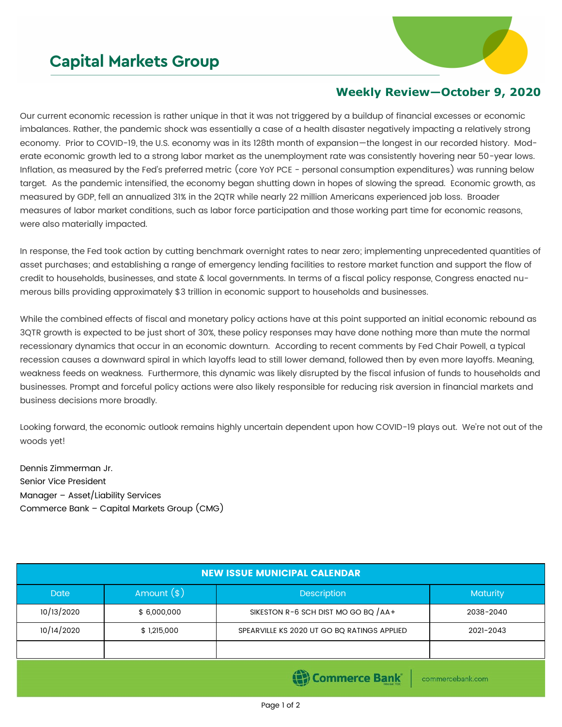## **Capital Markets Group**



## **Weekly Review—October 9, 2020**

Our current economic recession is rather unique in that it was not triggered by a buildup of financial excesses or economic imbalances. Rather, the pandemic shock was essentially a case of a health disaster negatively impacting a relatively strong economy. Prior to COVID-19, the U.S. economy was in its 128th month of expansion—the longest in our recorded history. Moderate economic growth led to a strong labor market as the unemployment rate was consistently hovering near 50-year lows. Inflation, as measured by the Fed's preferred metric (core YoY PCE - personal consumption expenditures) was running below target. As the pandemic intensified, the economy began shutting down in hopes of slowing the spread. Economic growth, as measured by GDP, fell an annualized 31% in the 2QTR while nearly 22 million Americans experienced job loss. Broader measures of labor market conditions, such as labor force participation and those working part time for economic reasons, were also materially impacted.

In response, the Fed took action by cutting benchmark overnight rates to near zero; implementing unprecedented quantities of asset purchases; and establishing a range of emergency lending facilities to restore market function and support the flow of credit to households, businesses, and state & local governments. In terms of a fiscal policy response, Congress enacted numerous bills providing approximately \$3 trillion in economic support to households and businesses.

While the combined effects of fiscal and monetary policy actions have at this point supported an initial economic rebound as 3QTR growth is expected to be just short of 30%, these policy responses may have done nothing more than mute the normal recessionary dynamics that occur in an economic downturn. According to recent comments by Fed Chair Powell, a typical recession causes a downward spiral in which layoffs lead to still lower demand, followed then by even more layoffs. Meaning, weakness feeds on weakness. Furthermore, this dynamic was likely disrupted by the fiscal infusion of funds to households and businesses. Prompt and forceful policy actions were also likely responsible for reducing risk aversion in financial markets and business decisions more broadly.

Looking forward, the economic outlook remains highly uncertain dependent upon how COVID-19 plays out. We're not out of the woods yet!

Dennis Zimmerman Jr. Senior Vice President Manager – Asset/Liability Services Commerce Bank – Capital Markets Group (CMG)

| <b>NEW ISSUE MUNICIPAL CALENDAR</b>      |              |                                             |           |  |  |  |
|------------------------------------------|--------------|---------------------------------------------|-----------|--|--|--|
| <b>Date</b>                              | Amount $(*)$ | Description                                 | Maturity  |  |  |  |
| 10/13/2020                               | \$6,000,000  | SIKESTON R-6 SCH DIST MO GO BQ $/AA+$       | 2038-2040 |  |  |  |
| 10/14/2020                               | \$1,215,000  | SPEARVILLE KS 2020 UT GO BQ RATINGS APPLIED | 2021-2043 |  |  |  |
|                                          |              |                                             |           |  |  |  |
| <b>Commerce Bank</b><br>commercebank.com |              |                                             |           |  |  |  |